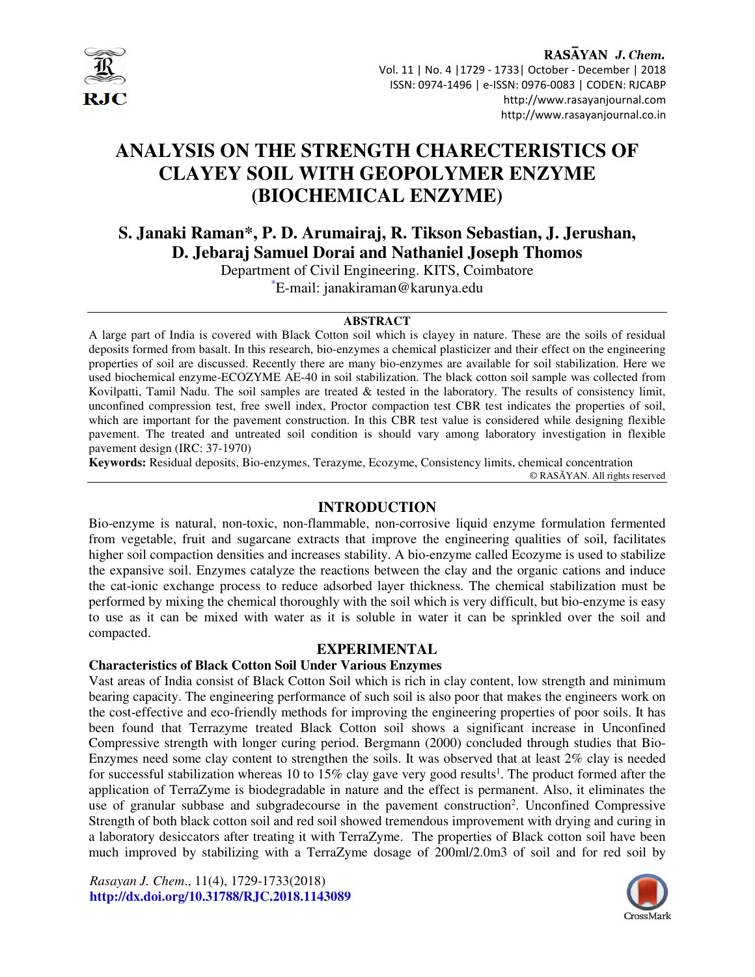

RASAYAN J. Chem. Vol. 11 | No. 4 |1729 - 1733| October - December | 2018 ISSN: 0974-1496 | e-ISSN: 0976-0083 | CODEN: RJCABP http://www.rasayanjournal.com http://www.rasayanjournal.co.in

# **ANALYSIS ON THE STRENGTH CHARECTERISTICS OF CLAYEY SOIL WITH GEOPOLYMER ENZYME (BIOCHEMICAL ENZYME)**

**S. Janaki Raman\*, P. D. Arumairaj, R. Tikson Sebastian, J. Jerushan, D. Jebaraj Samuel Dorai and Nathaniel Joseph Thomos**

> Department of Civil Engineering. KITS, Coimbatore \*E-mail: janakiraman@karunya.edu

#### **ABSTRACT**

A large part of India is covered with Black Cotton soil which is clayey in nature. These are the soils of residual deposits formed from basalt. In this research, bio-enzymes a chemical plasticizer and their effect on the engineering properties of soil are discussed. Recently there are many bio-enzymes are available for soil stabilization. Here we used biochemical enzyme-ECOZYME AE-40 in soil stabilization. The black cotton soil sample was collected from Kovilpatti, Tamil Nadu. The soil samples are treated & tested in the laboratory. The results of consistency limit, unconfined compression test, free swell index, Proctor compaction test CBR test indicates the properties of soil, which are important for the pavement construction. In this CBR test value is considered while designing flexible pavement. The treated and untreated soil condition is should vary among laboratory investigation in flexible pavement design (IRC: 37-1970)

**Keywords:** Residual deposits, Bio-enzymes, Terazyme, Ecozyme, Consistency limits, chemical concentration

© RASĀYAN. All rights reserved

## **INTRODUCTION**

Bio-enzyme is natural, non-toxic, non-flammable, non-corrosive liquid enzyme formulation fermented from vegetable, fruit and sugarcane extracts that improve the engineering qualities of soil, facilitates higher soil compaction densities and increases stability. A bio-enzyme called Ecozyme is used to stabilize the expansive soil. Enzymes catalyze the reactions between the clay and the organic cations and induce the cat-ionic exchange process to reduce adsorbed layer thickness. The chemical stabilization must be performed by mixing the chemical thoroughly with the soil which is very difficult, but bio-enzyme is easy to use as it can be mixed with water as it is soluble in water it can be sprinkled over the soil and compacted.

#### **EXPERIMENTAL**

# **Characteristics of Black Cotton Soil Under Various Enzymes**

Vast areas of India consist of Black Cotton Soil which is rich in clay content, low strength and minimum bearing capacity. The engineering performance of such soil is also poor that makes the engineers work on the cost-effective and eco-friendly methods for improving the engineering properties of poor soils. It has been found that Terrazyme treated Black Cotton soil shows a significant increase in Unconfined Compressive strength with longer curing period. Bergmann (2000) concluded through studies that Bio-Enzymes need some clay content to strengthen the soils. It was observed that at least 2% clay is needed for successful stabilization whereas 10 to 15% clay gave very good results<sup>1</sup>. The product formed after the application of TerraZyme is biodegradable in nature and the effect is permanent. Also, it eliminates the use of granular subbase and subgradecourse in the pavement construction<sup>2</sup>. Unconfined Compressive Strength of both black cotton soil and red soil showed tremendous improvement with drying and curing in a laboratory desiccators after treating it with TerraZyme. The properties of Black cotton soil have been much improved by stabilizing with a TerraZyme dosage of 200ml/2.0m3 of soil and for red soil by

*Rasayan J. Chem*., 11(4), 1729-1733(2018) **http://dx.doi.org/10.31788/RJC.2018.1143089** 

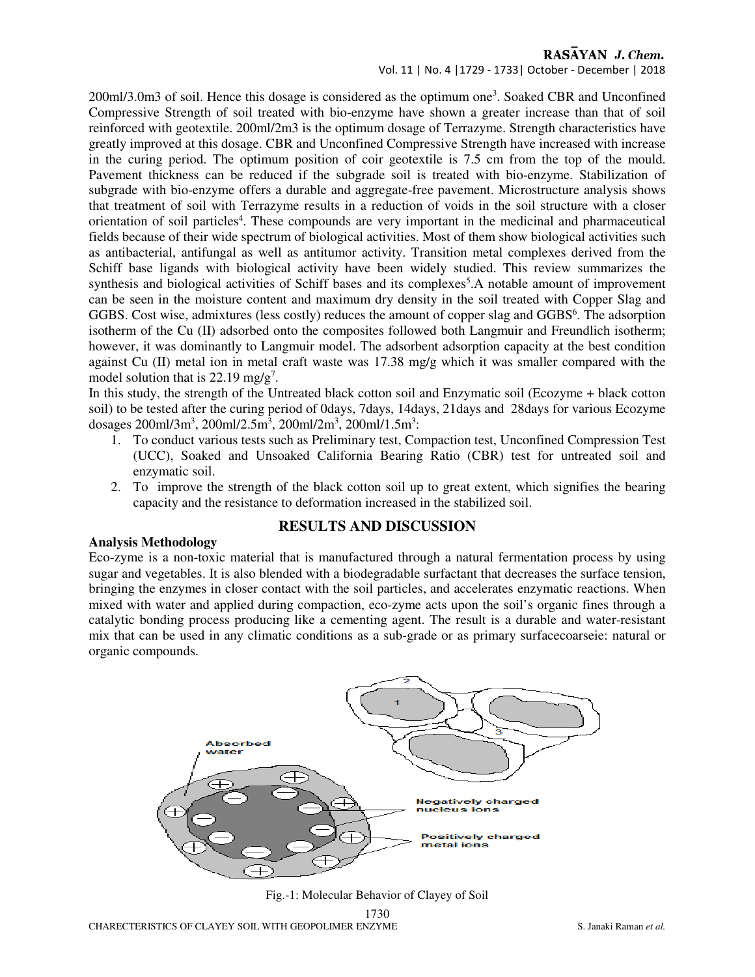# RASAYAN J. Chem.

Vol. 11 | No. 4 |1729 - 1733| October - December | 2018

200ml/3.0m3 of soil. Hence this dosage is considered as the optimum one<sup>3</sup>. Soaked CBR and Unconfined Compressive Strength of soil treated with bio-enzyme have shown a greater increase than that of soil reinforced with geotextile. 200ml/2m3 is the optimum dosage of Terrazyme. Strength characteristics have greatly improved at this dosage. CBR and Unconfined Compressive Strength have increased with increase in the curing period. The optimum position of coir geotextile is 7.5 cm from the top of the mould. Pavement thickness can be reduced if the subgrade soil is treated with bio-enzyme. Stabilization of subgrade with bio-enzyme offers a durable and aggregate-free pavement. Microstructure analysis shows that treatment of soil with Terrazyme results in a reduction of voids in the soil structure with a closer orientation of soil particles<sup>4</sup>. These compounds are very important in the medicinal and pharmaceutical fields because of their wide spectrum of biological activities. Most of them show biological activities such as antibacterial, antifungal as well as antitumor activity. Transition metal complexes derived from the Schiff base ligands with biological activity have been widely studied. This review summarizes the synthesis and biological activities of Schiff bases and its complexes<sup>5</sup>.A notable amount of improvement can be seen in the moisture content and maximum dry density in the soil treated with Copper Slag and GGBS. Cost wise, admixtures (less costly) reduces the amount of copper slag and GGBS<sup>6</sup>. The adsorption isotherm of the Cu (II) adsorbed onto the composites followed both Langmuir and Freundlich isotherm; however, it was dominantly to Langmuir model. The adsorbent adsorption capacity at the best condition against Cu (II) metal ion in metal craft waste was 17.38 mg/g which it was smaller compared with the model solution that is  $22.19 \text{ mg/g}^7$ .

In this study, the strength of the Untreated black cotton soil and Enzymatic soil (Ecozyme + black cotton soil) to be tested after the curing period of 0days, 7days, 14days, 21days and 28days for various Ecozyme dosages 200ml/3m<sup>3</sup>, 200ml/2.5m<sup>3</sup>, 200ml/2m<sup>3</sup>, 200ml/1.5m<sup>3</sup>:

- 1. To conduct various tests such as Preliminary test, Compaction test, Unconfined Compression Test (UCC), Soaked and Unsoaked California Bearing Ratio (CBR) test for untreated soil and enzymatic soil.
- 2. To improve the strength of the black cotton soil up to great extent, which signifies the bearing capacity and the resistance to deformation increased in the stabilized soil.

## **RESULTS AND DISCUSSION**

#### **Analysis Methodology**

Eco-zyme is a non-toxic material that is manufactured through a natural fermentation process by using sugar and vegetables. It is also blended with a biodegradable surfactant that decreases the surface tension, bringing the enzymes in closer contact with the soil particles, and accelerates enzymatic reactions. When mixed with water and applied during compaction, eco-zyme acts upon the soil's organic fines through a catalytic bonding process producing like a cementing agent. The result is a durable and water-resistant mix that can be used in any climatic conditions as a sub-grade or as primary surfacecoarseie: natural or organic compounds.



1730 Fig.-1: Molecular Behavior of Clayey of Soil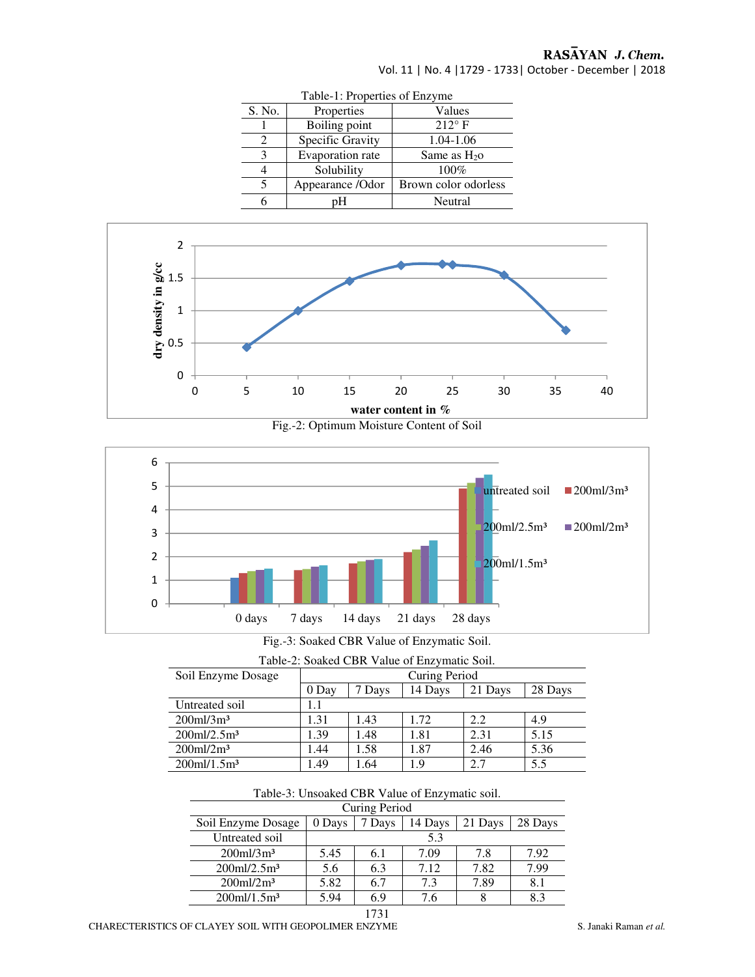# RASAYAN J. Chem.

Vol. 11 | No. 4 |1729 - 1733| October - December | 2018

| <b>LAVIC-1.</b> LIUPCHICS UL EILEVING |                  |                      |  |  |  |
|---------------------------------------|------------------|----------------------|--|--|--|
| S. No.                                | Properties       | Values               |  |  |  |
|                                       | Boiling point    | $212^{\circ}$ F      |  |  |  |
| 2                                     | Specific Gravity | 1.04-1.06            |  |  |  |
| 3                                     | Evaporation rate | Same as $H_{2}$      |  |  |  |
|                                       | Solubility       | 100%                 |  |  |  |
|                                       | Appearance /Odor | Brown color odorless |  |  |  |
|                                       | ∍H-              | Neutral              |  |  |  |









| Fig.-3: Soaked CBR Value of Enzymatic Soil. |
|---------------------------------------------|
|---------------------------------------------|

| Soil Enzyme Dosage         |       | Curing Period |         |         |         |
|----------------------------|-------|---------------|---------|---------|---------|
|                            | 0 Day | Davs          | 14 Days | 21 Days | 28 Days |
| Untreated soil             |       |               |         |         |         |
| $200$ ml/3m <sup>3</sup>   | .31   | 1.43          | 1.72    | 2.2     | 4.9     |
| $200$ ml/2.5m <sup>3</sup> | .39   | .48           | 1.81    | 2.31    | 5.15    |
| $200$ ml/ $2m3$            | l .44 | .58           | 1.87    | 2.46    | 5.36    |
| $200$ ml/1.5m <sup>3</sup> | .49   | .64           | 1.9     | 2.7     | 5.5     |

### Table-3: Unsoaked CBR Value of Enzymatic soil.

| Curing Period              |        |        |         |         |         |  |
|----------------------------|--------|--------|---------|---------|---------|--|
| Soil Enzyme Dosage         | 0 Days | 7 Days | 14 Days | 21 Days | 28 Days |  |
| Untreated soil             | 5.3    |        |         |         |         |  |
| $200$ ml/3m <sup>3</sup>   | 5.45   | 6.1    | 7.09    | 7.8     | 7.92    |  |
| $200$ ml/2.5m <sup>3</sup> | 5.6    | 6.3    | 7.12    | 7.82    | 7.99    |  |
| $200$ ml/ $2m3$            | 5.82   | 6.7    | 7.3     | 7.89    | 8.1     |  |
| $200$ ml/1.5m <sup>3</sup> | 5.94   | 6.9    | 7.6     | 8       | 8.3     |  |
|                            |        |        |         |         |         |  |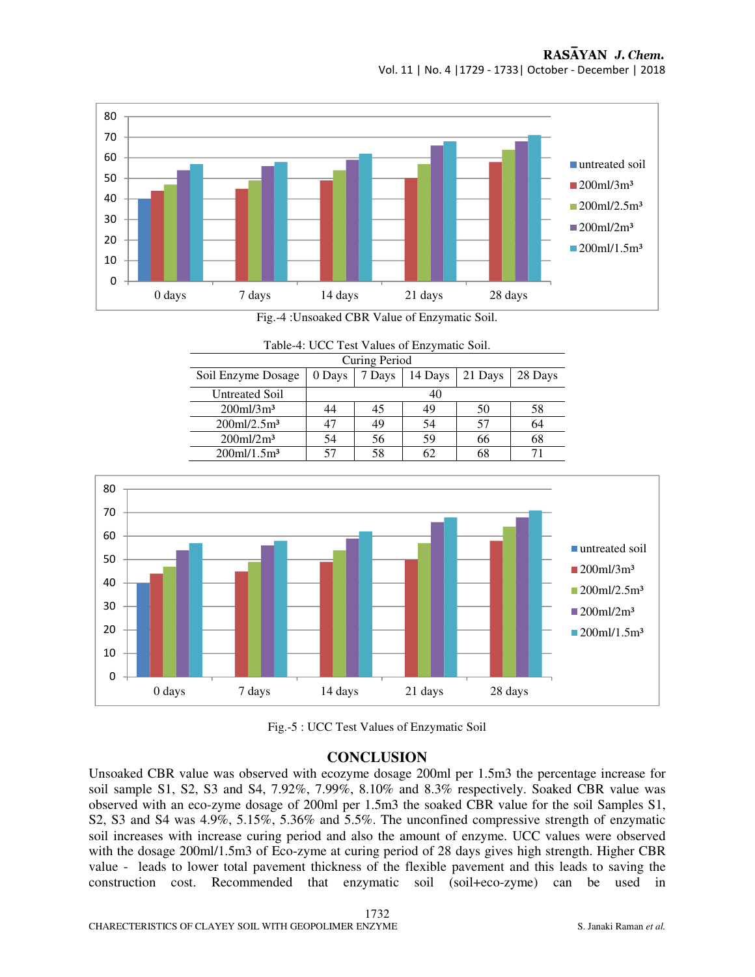

Fig.-4 :Unsoaked CBR Value of Enzymatic Soil.

Table-4: UCC Test Values of Enzymatic Soil.

| Curing Period              |        |        |         |         |         |  |
|----------------------------|--------|--------|---------|---------|---------|--|
| Soil Enzyme Dosage         | 0 Days | 7 Days | 14 Days | 21 Days | 28 Days |  |
| <b>Untreated Soil</b>      | 40     |        |         |         |         |  |
| $200$ ml/3m <sup>3</sup>   | 44     | 45     | 49      | 50      | 58      |  |
| $200$ ml/2.5m <sup>3</sup> |        |        |         | 57      | 64      |  |
| $200$ ml/ $2m3$            | 54     | 56     | 59      | 66      | 68      |  |
| $200$ ml/1.5m <sup>3</sup> |        |        |         | 68      |         |  |





# **CONCLUSION**

Unsoaked CBR value was observed with ecozyme dosage 200ml per 1.5m3 the percentage increase for soil sample S1, S2, S3 and S4, 7.92%, 7.99%, 8.10% and 8.3% respectively. Soaked CBR value was observed with an eco-zyme dosage of 200ml per 1.5m3 the soaked CBR value for the soil Samples S1, S2, S3 and S4 was 4.9%, 5.15%, 5.36% and 5.5%. The unconfined compressive strength of enzymatic soil increases with increase curing period and also the amount of enzyme. UCC values were observed with the dosage 200ml/1.5m3 of Eco-zyme at curing period of 28 days gives high strength. Higher CBR value - leads to lower total pavement thickness of the flexible pavement and this leads to saving the construction cost. Recommended that enzymatic soil (soil+eco-zyme) can be used in